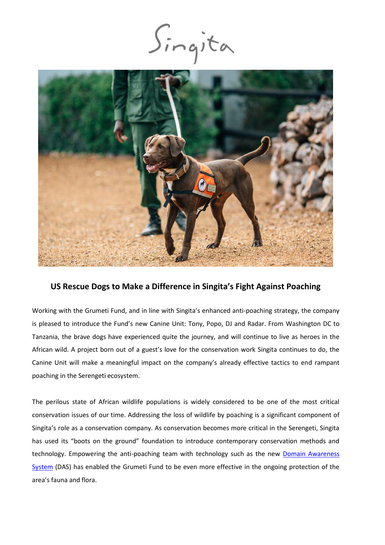Singita



# **US Rescue Dogs to Make a Difference in Singita's Fight Against Poaching**

Working with the Grumeti Fund, and in line with Singita's enhanced anti-poaching strategy, the company is pleased to introduce the Fund's new Canine Unit: Tony, Popo, DJ and Radar. From Washington DC to Tanzania, the brave dogs have experienced quite the journey, and will continue to live as heroes in the African wild. A project born out of a guest's love for the conservation work Singita continues to do, the Canine Unit will make a meaningful impact on the company's already effective tactics to end rampant poaching in the Serengeti ecosystem.

The perilous state of African wildlife populations is widely considered to be one of the most critical conservation issues of our time. Addressing the loss of wildlife by poaching is a significant component of Singita's role as a conservation company. As conservation becomes more critical in the Serengeti, Singita has used its "boots on the ground" foundation to introduce contemporary conservation methods and technology. Empowering the anti-poaching team with technology such as the new [Domain Awareness](https://singita.com/press-release/singita-introduces-new-technology-support-established-anti-poaching-strategy/) [System](https://singita.com/press-release/singita-introduces-new-technology-support-established-anti-poaching-strategy/) (DAS) has enabled the Grumeti Fund to be even more effective in the ongoing protection of the area's fauna and flora.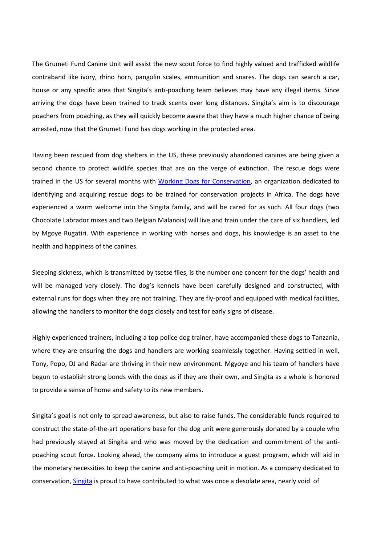The Grumeti Fund Canine Unit will assist the new scout force to find highly valued and trafficked wildlife contraband like ivory, rhino horn, pangolin scales, ammunition and snares. The dogs can search a car, house or any specific area that Singita's anti-poaching team believes may have any illegal items. Since arriving the dogs have been trained to track scents over long distances. Singita's aim is to discourage poachers from poaching, as they will quickly become aware that they have a much higher chance of being arrested, now that the Grumeti Fund has dogs working in the protected area.

Having been rescued from dog shelters in the US, these previously abandoned canines are being given a second chance to protect wildlife species that are on the verge of extinction. The rescue dogs were trained in the US for several months with [Working Dogs for Conservation,](https://wd4c.org/) an organization dedicated to identifying and acquiring rescue dogs to be trained for conservation projects in Africa. The dogs have experienced a warm welcome into the Singita family, and will be cared for as such. All four dogs (two Chocolate Labrador mixes and two Belgian Malanois) will live and train under the care of six handlers, led by Mgoye Rugatiri. With experience in working with horses and dogs, his knowledge is an asset to the health and happiness of the canines.

Sleeping sickness, which is transmitted by tsetse flies, is the number one concern for the dogs' health and will be managed very closely. The dog's kennels have been carefully designed and constructed, with external runs for dogs when they are not training. They are fly-proof and equipped with medical facilities, allowing the handlers to monitor the dogs closely and test for early signs of disease.

Highly experienced trainers, including a top police dog trainer, have accompanied these dogs to Tanzania, where they are ensuring the dogs and handlers are working seamlessly together. Having settled in well, Tony, Popo, DJ and Radar are thriving in their new environment. Mgyoye and his team of handlers have begun to establish strong bonds with the dogs as if they are their own, and Singita as a whole is honored to provide a sense of home and safety to its new members.

Singita's goal is not only to spread awareness, but also to raise funds. The considerable funds required to construct the state-of-the-art operations base for the dog unit were generously donated by a couple who had previously stayed at Singita and who was moved by the dedication and commitment of the antipoaching scout force. Looking ahead, the company aims to introduce a guest program, which will aid in the monetary necessities to keep the canine and anti-poaching unit in motion. As a company dedicated to conservation[, Singita](https://singita.com/) is proud to have contributed to what was once a desolate area, nearly void of